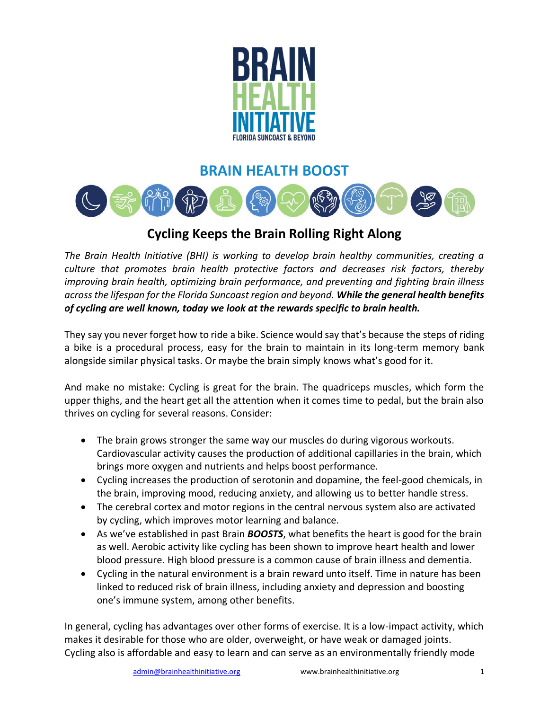

## **BRAIN HEALTH BOOST**



## **Cycling Keeps the Brain Rolling Right Along**

*The Brain Health Initiative (BHI) is working to develop brain healthy communities, creating a culture that promotes brain health protective factors and decreases risk factors, thereby improving brain health, optimizing brain performance, and preventing and fighting brain illness across the lifespan for the Florida Suncoast region and beyond. While the general health benefits of cycling are well known, today we look at the rewards specific to brain health.*

They say you never forget how to ride a bike. Science would say that's because the steps of riding a bike is a procedural process, easy for the brain to maintain in its long-term memory bank alongside similar physical tasks. Or maybe the brain simply knows what's good for it.

And make no mistake: Cycling is great for the brain. The quadriceps muscles, which form the upper thighs, and the heart get all the attention when it comes time to pedal, but the brain also thrives on cycling for several reasons. Consider:

- The brain grows stronger the same way our muscles do during vigorous workouts. Cardiovascular activity causes the production of additional capillaries in the brain, which brings more oxygen and nutrients and helps boost performance.
- Cycling increases the production of serotonin and dopamine, the feel-good chemicals, in the brain, improving mood, reducing anxiety, and allowing us to better handle stress.
- The cerebral cortex and motor regions in the central nervous system also are activated by cycling, which improves motor learning and balance.
- As we've established in past Brain *BOOSTS*, what benefits the heart is good for the brain as well. Aerobic activity like cycling has been shown to improve heart health and lower blood pressure. High blood pressure is a common cause of brain illness and dementia.
- Cycling in the natural environment is a brain reward unto itself. Time in nature has been linked to reduced risk of brain illness, including anxiety and depression and boosting one's immune system, among other benefits.

In general, cycling has advantages over other forms of exercise. It is a low-impact activity, which makes it desirable for those who are older, overweight, or have weak or damaged joints. Cycling also is affordable and easy to learn and can serve as an environmentally friendly mode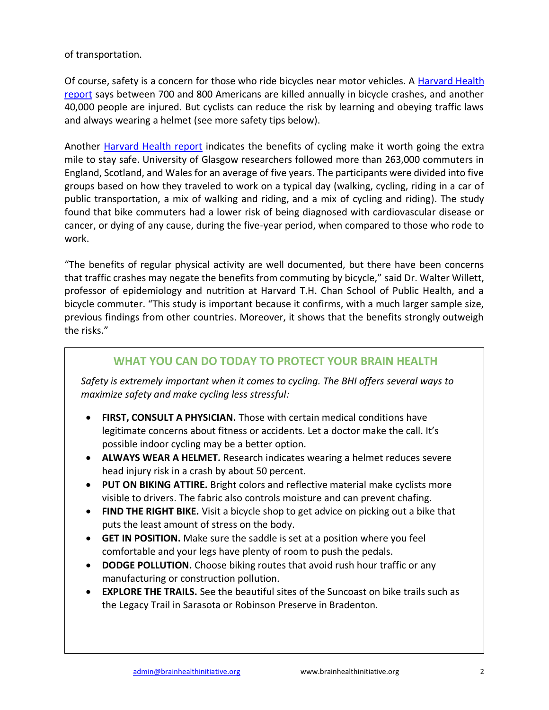of transportation.

Of course, safety is a concern for those who ride bicycles near motor vehicles. A [Harvard Health](https://www.health.harvard.edu/newsletter_article/getting-back-on-the-bike#:~:text=But%20for%20the%20most%20part,heart%20work%20a%20little%20harder)  [report](https://www.health.harvard.edu/newsletter_article/getting-back-on-the-bike#:~:text=But%20for%20the%20most%20part,heart%20work%20a%20little%20harder) says between 700 and 800 Americans are killed annually in bicycle crashes, and another 40,000 people are injured. But cyclists can reduce the risk by learning and obeying traffic laws and always wearing a helmet (see more safety tips below).

Another [Harvard Health report](https://www.health.harvard.edu/blog/11813-2017061511813) indicates the benefits of cycling make it worth going the extra mile to stay safe. University of Glasgow researchers followed more than 263,000 commuters in England, Scotland, and Wales for an average of five years. The participants were divided into five groups based on how they traveled to work on a typical day (walking, cycling, riding in a car of public transportation, a mix of walking and riding, and a mix of cycling and riding). The study found that bike commuters had a lower risk of being diagnosed with cardiovascular disease or cancer, or dying of any cause, during the five-year period, when compared to those who rode to work.

"The benefits of regular physical activity are well documented, but there have been concerns that traffic crashes may negate the benefits from commuting by bicycle," said Dr. Walter Willett, professor of epidemiology and nutrition at Harvard T.H. Chan School of Public Health, and a bicycle commuter. "This study is important because it confirms, with a much larger sample size, previous findings from other countries. Moreover, it shows that the benefits strongly outweigh the risks."

## **WHAT YOU CAN DO TODAY TO PROTECT YOUR BRAIN HEALTH**

*Safety is extremely important when it comes to cycling. The BHI offers several ways to maximize safety and make cycling less stressful:*

- **FIRST, CONSULT A PHYSICIAN.** Those with certain medical conditions have legitimate concerns about fitness or accidents. Let a doctor make the call. It's possible indoor cycling may be a better option.
- **ALWAYS WEAR A HELMET.** Research indicates wearing a helmet reduces severe head injury risk in a crash by about 50 percent.
- **PUT ON BIKING ATTIRE.** Bright colors and reflective material make cyclists more visible to drivers. The fabric also controls moisture and can prevent chafing.
- **FIND THE RIGHT BIKE.** Visit a bicycle shop to get advice on picking out a bike that puts the least amount of stress on the body.
- **GET IN POSITION.** Make sure the saddle is set at a position where you feel comfortable and your legs have plenty of room to push the pedals.
- **DODGE POLLUTION.** Choose biking routes that avoid rush hour traffic or any manufacturing or construction pollution.
- **EXPLORE THE TRAILS.** See the beautiful sites of the Suncoast on bike trails such as the Legacy Trail in Sarasota or Robinson Preserve in Bradenton.